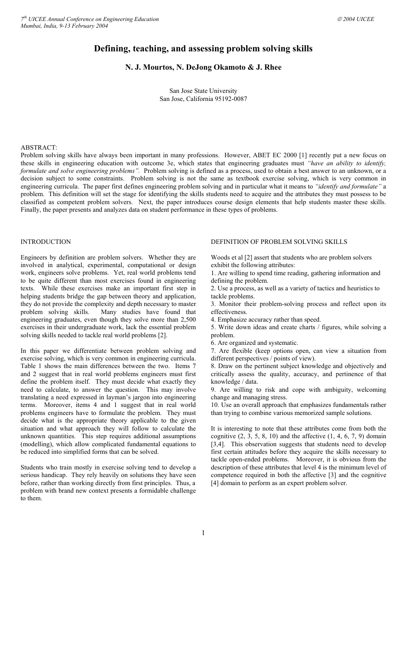# **Defining, teaching, and assessing problem solving skills**

## **N. J. Mourtos, N. DeJong Okamoto & J. Rhee**

San Jose State University San Jose, California 95192-0087

#### ABSTRACT:

Problem solving skills have always been important in many professions. However, ABET EC 2000 [1] recently put a new focus on these skills in engineering education with outcome 3e, which states that engineering graduates must *"have an ability to identify, formulate and solve engineering problems".* Problem solving is defined as a process, used to obtain a best answer to an unknown, or a decision subject to some constraints. Problem solving is not the same as textbook exercise solving, which is very common in engineering curricula. The paper first defines engineering problem solving and in particular what it means to *"identify and formulate"* a problem. This definition will set the stage for identifying the skills students need to acquire and the attributes they must possess to be classified as competent problem solvers. Next, the paper introduces course design elements that help students master these skills. Finally, the paper presents and analyzes data on student performance in these types of problems.

## **INTRODUCTION**

Engineers by definition are problem solvers. Whether they are involved in analytical, experimental, computational or design work, engineers solve problems. Yet, real world problems tend to be quite different than most exercises found in engineering texts. While these exercises make an important first step in helping students bridge the gap between theory and application, they do not provide the complexity and depth necessary to master problem solving skills. Many studies have found that engineering graduates, even though they solve more than 2,500 exercises in their undergraduate work, lack the essential problem solving skills needed to tackle real world problems [2].

In this paper we differentiate between problem solving and exercise solving, which is very common in engineering curricula. Table 1 shows the main differences between the two. Items 7 and 2 suggest that in real world problems engineers must first define the problem itself. They must decide what exactly they need to calculate, to answer the question. This may involve translating a need expressed in layman's jargon into engineering terms. Moreover, items 4 and 1 suggest that in real world problems engineers have to formulate the problem. They must decide what is the appropriate theory applicable to the given situation and what approach they will follow to calculate the unknown quantities. This step requires additional assumptions (modelling), which allow complicated fundamental equations to be reduced into simplified forms that can be solved.

Students who train mostly in exercise solving tend to develop a serious handicap. They rely heavily on solutions they have seen before, rather than working directly from first principles. Thus, a problem with brand new context presents a formidable challenge to them.

## DEFINITION OF PROBLEM SOLVING SKILLS

Woods et al [2] assert that students who are problem solvers exhibit the following attributes:

1. Are willing to spend time reading, gathering information and defining the problem.

2. Use a process, as well as a variety of tactics and heuristics to tackle problems.

3. Monitor their problem-solving process and reflect upon its effectiveness.

4. Emphasize accuracy rather than speed.

5. Write down ideas and create charts / figures, while solving a problem.

6. Are organized and systematic.

7. Are flexible (keep options open, can view a situation from different perspectives / points of view).

8. Draw on the pertinent subject knowledge and objectively and critically assess the quality, accuracy, and pertinence of that knowledge / data.

9. Are willing to risk and cope with ambiguity, welcoming change and managing stress.

10. Use an overall approach that emphasizes fundamentals rather than trying to combine various memorized sample solutions.

It is interesting to note that these attributes come from both the cognitive  $(2, 3, 5, 8, 10)$  and the affective  $(1, 4, 6, 7, 9)$  domain [3,4]. This observation suggests that students need to develop first certain attitudes before they acquire the skills necessary to tackle open-ended problems. Moreover, it is obvious from the description of these attributes that level 4 is the minimum level of competence required in both the affective [3] and the cognitive [4] domain to perform as an expert problem solver.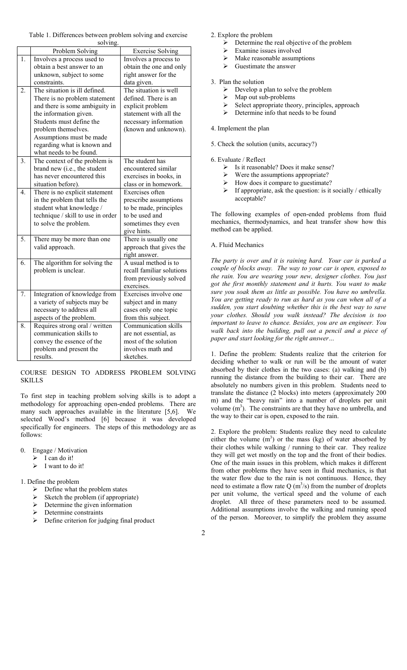Table 1. Differences between problem solving and exercise solving.

|                  | Problem Solving                   | <b>Exercise Solving</b>   |
|------------------|-----------------------------------|---------------------------|
| 1.               | Involves a process used to        | Involves a process to     |
|                  | obtain a best answer to an        | obtain the one and only   |
|                  | unknown, subject to some          | right answer for the      |
|                  | constraints.                      | data given.               |
| 2.               | The situation is ill defined.     | The situation is well     |
|                  | There is no problem statement     | defined. There is an      |
|                  | and there is some ambiguity in    | explicit problem          |
|                  | the information given.            | statement with all the    |
|                  | Students must define the          | necessary information     |
|                  | problem themselves.               | (known and unknown).      |
|                  | Assumptions must be made          |                           |
|                  | regarding what is known and       |                           |
|                  | what needs to be found.           |                           |
| 3.               | The context of the problem is     | The student has           |
|                  | brand new (i.e., the student      | encountered similar       |
|                  | has never encountered this        | exercises in books, in    |
|                  | situation before).                | class or in homework.     |
| $\overline{4}$ . | There is no explicit statement    | Exercises often           |
|                  | in the problem that tells the     | prescribe assumptions     |
|                  | student what knowledge /          | to be made, principles    |
|                  | technique / skill to use in order | to be used and            |
|                  | to solve the problem.             | sometimes they even       |
|                  |                                   | give hints.               |
| 5.               | There may be more than one        | There is usually one      |
|                  | valid approach.                   | approach that gives the   |
|                  |                                   | right answer.             |
| 6.               | The algorithm for solving the     | A usual method is to      |
|                  | problem is unclear.               | recall familiar solutions |
|                  |                                   | from previously solved    |
|                  |                                   | exercises.                |
| 7.               | Integration of knowledge from     | Exercises involve one     |
|                  | a variety of subjects may be      | subject and in many       |
|                  | necessary to address all          | cases only one topic      |
|                  | aspects of the problem.           | from this subject.        |
| 8.               | Requires strong oral / written    | Communication skills      |
|                  | communication skills to           | are not essential, as     |
|                  | convey the essence of the         | most of the solution      |
|                  | problem and present the           | involves math and         |
|                  | results.                          | sketches.                 |

COURSE DESIGN TO ADDRESS PROBLEM SOLVING **SKILLS** 

To first step in teaching problem solving skills is to adopt a methodology for approaching open-ended problems. There are many such approaches available in the literature [5,6]. We selected Wood's method [6] because it was developed specifically for engineers. The steps of this methodology are as follows:

0. Engage / Motivation

- $\triangleright$  I can do it!
- $\triangleright$  I want to do it!

1. Define the problem

- $\triangleright$  Define what the problem states
- $\triangleright$  Sketch the problem (if appropriate)
- $\triangleright$  Determine the given information
- Determine constraints
- $\triangleright$  Define criterion for judging final product

2. Explore the problem

- $\triangleright$  Determine the real objective of the problem<br> $\triangleright$  Examine issues involved
- ¾ Examine issues involved
	- $\triangleright$  Make reasonable assumptions
	- $\triangleright$  Guestimate the answer
- 3. Plan the solution
	- $\triangleright$  Develop a plan to solve the problem
	- $\triangleright$  Map out sub-problems
	- $\triangleright$  Select appropriate theory, principles, approach
	- $\triangleright$  Determine info that needs to be found

#### 4. Implement the plan

5. Check the solution (units, accuracy?)

## 6. Evaluate / Reflect

- $\triangleright$  Is it reasonable? Does it make sense?
- $\triangleright$  Were the assumptions appropriate?
- $\blacktriangleright$  How does it compare to guestimate?
- $\triangleright$  If appropriate, ask the question: is it socially / ethically acceptable?

The following examples of open-ended problems from fluid mechanics, thermodynamics, and heat transfer show how this method can be applied.

### A. Fluid Mechanics

*The party is over and it is raining hard. Your car is parked a couple of blocks away. The way to your car is open, exposed to the rain. You are wearing your new, designer clothes. You just got the first monthly statement and it hurts. You want to make sure you soak them as little as possible. You have no umbrella. You are getting ready to run as hard as you can when all of a sudden, you start doubting whether this is the best way to save your clothes. Should you walk instead? The decision is too important to leave to chance. Besides, you are an engineer. You walk back into the building, pull out a pencil and a piece of paper and start looking for the right answer…* 

1. Define the problem: Students realize that the criterion for deciding whether to walk or run will be the amount of water absorbed by their clothes in the two cases: (a) walking and (b) running the distance from the building to their car. There are absolutely no numbers given in this problem. Students need to translate the distance (2 blocks) into meters (approximately 200 m) and the "heavy rain" into a number of droplets per unit volume  $(m<sup>3</sup>)$ . The constraints are that they have no umbrella, and the way to their car is open, exposed to the rain.

2. Explore the problem: Students realize they need to calculate either the volume  $(m<sup>3</sup>)$  or the mass (kg) of water absorbed by their clothes while walking / running to their car. They realize they will get wet mostly on the top and the front of their bodies. One of the main issues in this problem, which makes it different from other problems they have seen in fluid mechanics, is that the water flow due to the rain is not continuous. Hence, they need to estimate a flow rate  $Q(m^3/s)$  from the number of droplets per unit volume, the vertical speed and the volume of each droplet. All three of these parameters need to be assumed. Additional assumptions involve the walking and running speed of the person. Moreover, to simplify the problem they assume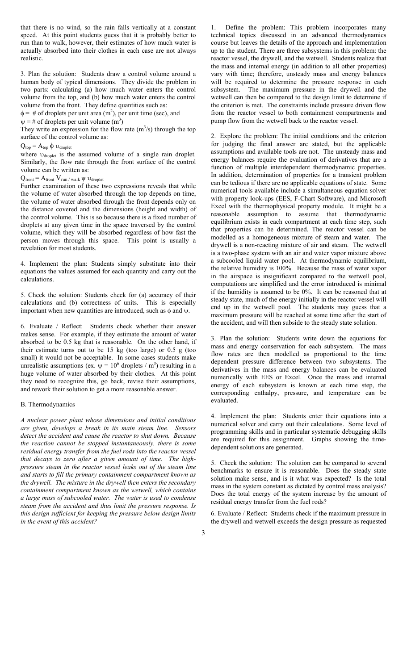that there is no wind, so the rain falls vertically at a constant speed. At this point students guess that it is probably better to run than to walk, however, their estimates of how much water is actually absorbed into their clothes in each case are not always realistic.

3. Plan the solution: Students draw a control volume around a human body of typical dimensions. They divide the problem in two parts: calculating (a) how much water enters the control volume from the top, and (b) how much water enters the control volume from the front. They define quantities such as:

 $\phi = \text{\# of droplets per unit area (m}^2)$ , per unit time (sec), and

 $\psi = \text{\#}$  of droplets per unit volume  $(m^3)$ 

They write an expression for the flow rate  $(m<sup>3</sup>/s)$  through the top surface of the control volume as:

# $Q_{top} = A_{top} \phi \upsilon_{droplet}$

where  $v_{\text{droplet}}$  is the assumed volume of a single rain droplet. Similarly, the flow rate through the front surface of the control volume can be written as:

 $Q_{front} = A_{front} V_{run/walk} \psi v_{droplet}$ 

Further examination of these two expressions reveals that while the volume of water absorbed through the top depends on time, the volume of water absorbed through the front depends only on the distance covered and the dimensions (height and width) of the control volume. This is so because there is a fixed number of droplets at any given time in the space traversed by the control volume, which they will be absorbed regardless of how fast the person moves through this space. This point is usually a revelation for most students.

4. Implement the plan: Students simply substitute into their equations the values assumed for each quantity and carry out the calculations.

5. Check the solution: Students check for (a) accuracy of their calculations and (b) correctness of units. This is especially important when new quantities are introduced, such as  $\phi$  and  $\psi$ .

6. Evaluate / Reflect: Students check whether their answer makes sense. For example, if they estimate the amount of water absorbed to be 0.5 kg that is reasonable. On the other hand, if their estimate turns out to be 15 kg (too large) or 0.5 g (too small) it would not be acceptable. In some cases students make unrealistic assumptions (ex.  $\psi = 10^6$  droplets / m<sup>3</sup>) resulting in a huge volume of water absorbed by their clothes. At this point they need to recognize this, go back, revise their assumptions, and rework their solution to get a more reasonable answer.

#### B. Thermodynamics

*A nuclear power plant whose dimensions and initial conditions are given, develops a break in its main steam line. Sensors detect the accident and cause the reactor to shut down. Because the reaction cannot be stopped instantaneously, there is some residual energy transfer from the fuel rods into the reactor vessel that decays to zero after a given amount of time. The highpressure steam in the reactor vessel leaks out of the steam line and starts to fill the primary containment compartment known as the drywell. The mixture in the drywell then enters the secondary containment compartment known as the wetwell, which contains a large mass of subcooled water. The water is used to condense steam from the accident and thus limit the pressure response. Is this design sufficient for keeping the pressure below design limits in the event of this accident?* 

1. Define the problem: This problem incorporates many technical topics discussed in an advanced thermodynamics course but leaves the details of the approach and implementation up to the student. There are three subsystems in this problem: the reactor vessel, the drywell, and the wetwell. Students realize that the mass and internal energy (in addition to all other properties) vary with time; therefore, unsteady mass and energy balances will be required to determine the pressure response in each subsystem. The maximum pressure in the drywell and the wetwell can then be compared to the design limit to determine if the criterion is met. The constraints include pressure driven flow from the reactor vessel to both containment compartments and pump flow from the wetwell back to the reactor vessel.

2. Explore the problem: The initial conditions and the criterion for judging the final answer are stated, but the applicable assumptions and available tools are not. The unsteady mass and energy balances require the evaluation of derivatives that are a function of multiple interdependent thermodynamic properties. In addition, determination of properties for a transient problem can be tedious if there are no applicable equations of state. Some numerical tools available include a simultaneous equation solver with property look-ups (EES, F-Chart Software), and Microsoft Excel with the thermophysical property module. It might be a reasonable assumption to assume that thermodynamic equilibrium exists in each compartment at each time step, such that properties can be determined. The reactor vessel can be modelled as a homogeneous mixture of steam and water. The drywell is a non-reacting mixture of air and steam. The wetwell is a two-phase system with an air and water vapor mixture above a subcooled liquid water pool. At thermodynamic equilibrium, the relative humidity is 100%. Because the mass of water vapor in the airspace is insignificant compared to the wetwell pool, computations are simplified and the error introduced is minimal if the humidity is assumed to be 0%. It can be reasoned that at steady state, much of the energy initially in the reactor vessel will end up in the wetwell pool. The students may guess that a maximum pressure will be reached at some time after the start of the accident, and will then subside to the steady state solution.

3. Plan the solution: Students write down the equations for mass and energy conservation for each subsystem. The mass flow rates are then modelled as proportional to the time dependent pressure difference between two subsystems. The derivatives in the mass and energy balances can be evaluated numerically with EES or Excel. Once the mass and internal energy of each subsystem is known at each time step, the corresponding enthalpy, pressure, and temperature can be evaluated.

4. Implement the plan: Students enter their equations into a numerical solver and carry out their calculations. Some level of programming skills and in particular systematic debugging skills are required for this assignment. Graphs showing the timedependent solutions are generated.

5. Check the solution: The solution can be compared to several benchmarks to ensure it is reasonable. Does the steady state solution make sense, and is it what was expected? Is the total mass in the system constant as dictated by control mass analysis? Does the total energy of the system increase by the amount of residual energy transfer from the fuel rods?

6. Evaluate / Reflect: Students check if the maximum pressure in the drywell and wetwell exceeds the design pressure as requested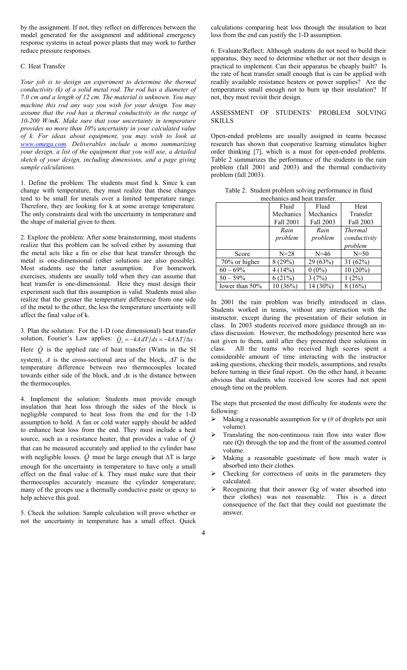by the assignment. If not, they reflect on differences between the model generated for the assignment and additional emergency response systems in actual power plants that may work to further reduce pressure responses.

#### C. Heat Transfer

*Your job is to design an experiment to determine the thermal conductivity (k) of a solid metal rod. The rod has a diameter of 7.0 cm and a length of 12 cm. The material is unknown. You may machine this rod any way you wish for your design. You may assume that the rod has a thermal conductivity in the range of 10-200 W/mK. Make sure that your uncertainty in temperature provides no more than 10% uncertainty in your calculated value of k. For ideas about equipment, you may wish to look at www.omega.com. Deliverables include a memo summarizing your design, a list of the equipment that you will use, a detailed sketch of your design, including dimensions, and a page giving sample calculations.* 

1. Define the problem: The students must find k. Since k can change with temperature, they must realize that these changes tend to be small for metals over a limited temperature range. Therefore, they are looking for k at some average temperature. The only constraints deal with the uncertainty in temperature and the shape of material given to them.

2. Explore the problem: After some brainstorming, most students realize that this problem can be solved either by assuming that the metal acts like a fin or else that heat transfer through the metal is one-dimensional (other solutions are also possible). Most students use the latter assumption. For homework exercises, students are usually told when they can assume that heat transfer is one-dimensional. Here they must design their experiment such that this assumption is valid. Students must also realize that the greater the temperature difference from one side of the metal to the other, the less the temperature uncertainty will affect the final value of k.

3. Plan the solution: For the 1-D (one dimensional) heat transfer solution, Fourier's Law applies:  $\dot{Q}_x = -kA dT/dx = -kA \Delta T/\Delta x$ .

Here *Q* is the applied rate of heat transfer (Watts in the SI system),  $\Lambda$  is the cross-sectional area of the block,  $\Delta T$  is the temperature difference between two thermocouples located towards either side of the block, and ∆*x* is the distance between the thermocouples.

4. Implement the solution: Students must provide enough insulation that heat loss through the sides of the block is negligible compared to heat loss from the end for the 1-D assumption to hold. A fan or cold water supply should be added to enhance heat loss from the end. They must include a heat source, such as a resistance heater, that provides a value of *Q* that can be measured accurately and applied to the cylinder base with negligible losses.  $\dot{Q}$  must be large enough that  $\Delta T$  is large enough for the uncertainty in temperature to have only a small effect on the final value of k. They must make sure that their thermocouples accurately measure the cylinder temperature; many of the groups use a thermally conductive paste or epoxy to help achieve this goal.

5. Check the solution: Sample calculation will prove whether or not the uncertainty in temperature has a small effect. Quick calculations comparing heat loss through the insulation to heat loss from the end can justify the 1-D assumption.

6. Evaluate/Reflect: Although students do not need to build their apparatus, they need to determine whether or not their design is practical to implement. Can their apparatus be cheaply built? Is the rate of heat transfer small enough that is can be applied with readily available resistance heaters or power supplies? Are the temperatures small enough not to burn up their insulation? If not, they must revisit their design.

### ASSESSMENT OF STUDENTS' PROBLEM SOLVING SKILLS

Open-ended problems are usually assigned in teams because research has shown that cooperative learning stimulates higher order thinking [7], which is a must for open-ended problems. Table 2 summarizes the performance of the students in the rain problem (fall 2001 and 2003) and the thermal conductivity problem (fall 2003).

|                              | Table 2. Student problem solving performance in fluid |  |
|------------------------------|-------------------------------------------------------|--|
| mechanics and heat transfer. |                                                       |  |

|                | Fluid            | Fluid     | Heat           |
|----------------|------------------|-----------|----------------|
|                | Mechanics        | Mechanics | Transfer       |
|                | <b>Fall 2001</b> | Fall 2003 | Fall 2003      |
|                | Rain             | Rain      | <b>Thermal</b> |
|                | problem          | problem   | conductivity   |
|                |                  |           | problem        |
| Score          | $N = 28$         | $N = 46$  | $N = 50$       |
| 70% or higher  | 8(29%)           | 29 (63%)  | 31 $(62%)$     |
| $60 - 69\%$    | 4(14%)           | $0(0\%)$  | $10(20\%)$     |
| $50 - 59\%$    | 6(21%)           | 3(7%)     | $1(2\%)$       |
| lower than 50% | 10(36%)          | 14 (30%)  | 8(16%)         |

In 2001 the rain problem was briefly introduced in class. Students worked in teams, without any interaction with the instructor, except during the presentation of their solution in class. In 2003 students received more guidance through an inclass discussion. However, the methodology presented here was not given to them, until after they presented their solutions in class. All the teams who received high scores spent a considerable amount of time interacting with the instructor asking questions, checking their models, assumptions, and results before turning in their final report. On the other hand, it became obvious that students who received low scores had not spent enough time on the problem.

The steps that presented the most difficulty for students were the following:

- $\triangleright$  Making a reasonable assumption for  $\psi$  (# of droplets per unit volume).
- ¾ Translating the non-continuous rain flow into water flow rate (Q) through the top and the front of the assumed control volume.
- ¾ Making a reasonable guestimate of how much water is absorbed into their clothes.
- Checking for correctness of units in the parameters they calculated.
- ¾ Recognizing that their answer (kg of water absorbed into their clothes) was not reasonable. This is a direct consequence of the fact that they could not guestimate the answer.